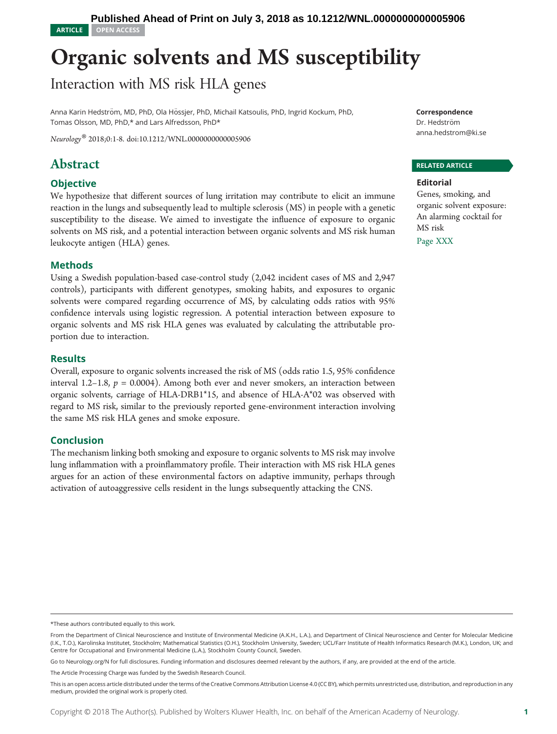## Organic solvents and MS susceptibility

## Interaction with MS risk HLA genes

Anna Karin Hedström, MD, PhD, Ola Hössjer, PhD, Michail Katsoulis, PhD, Ingrid Kockum, PhD, Tomas Olsson, MD, PhD,\* and Lars Alfredsson, PhD\*

Neurology® 2018;0:1-8. doi[:10.1212/WNL.0000000000005906](http://dx.doi.org/10.1212/WNL.0000000000005906)

## Abstract

#### **Objective**

We hypothesize that different sources of lung irritation may contribute to elicit an immune reaction in the lungs and subsequently lead to multiple sclerosis (MS) in people with a genetic susceptibility to the disease. We aimed to investigate the influence of exposure to organic solvents on MS risk, and a potential interaction between organic solvents and MS risk human leukocyte antigen (HLA) genes.

#### Methods

Using a Swedish population-based case-control study (2,042 incident cases of MS and 2,947 controls), participants with different genotypes, smoking habits, and exposures to organic solvents were compared regarding occurrence of MS, by calculating odds ratios with 95% confidence intervals using logistic regression. A potential interaction between exposure to organic solvents and MS risk HLA genes was evaluated by calculating the attributable proportion due to interaction.

#### Results

Overall, exposure to organic solvents increased the risk of MS (odds ratio 1.5, 95% confidence interval 1.2–1.8,  $p = 0.0004$ ). Among both ever and never smokers, an interaction between organic solvents, carriage of HLA-DRB1\*15, and absence of HLA-A\*02 was observed with regard to MS risk, similar to the previously reported gene-environment interaction involving the same MS risk HLA genes and smoke exposure.

#### Conclusion

The mechanism linking both smoking and exposure to organic solvents to MS risk may involve lung inflammation with a proinflammatory profile. Their interaction with MS risk HLA genes argues for an action of these environmental factors on adaptive immunity, perhaps through activation of autoaggressive cells resident in the lungs subsequently attacking the CNS.

Correspondence

Dr. Hedström [anna.hedstrom@ki.se](mailto:anna.hedstrom@ki.se)

#### RELATED ARTICLE

#### Editorial

Genes, smoking, and organic solvent exposure: An alarming cocktail for MS risk

Page XXX

Go to [Neurology.org/N](http://n.neurology.org/lookup/doi/10.1212/WNL.0000000000005906) for full disclosures. Funding information and disclosures deemed relevant by the authors, if any, are provided at the end of the article.

<sup>\*</sup>These authors contributed equally to this work.

From the Department of Clinical Neuroscience and Institute of Environmental Medicine (A.K.H., L.A.), and Department of Clinical Neuroscience and Center for Molecular Medicine (I.K., T.O.), Karolinska Institutet, Stockholm; Mathematical Statistics (O.H.), Stockholm University, Sweden; UCL/Farr Institute of Health Informatics Research (M.K.), London, UK; and Centre for Occupational and Environmental Medicine (L.A.), Stockholm County Council, Sweden.

The Article Processing Charge was funded by the Swedish Research Council.

This is an open access article distributed under the terms of the [Creative Commons Attribution License 4.0 \(CC BY\),](http://creativecommons.org/licenses/by/4.0/) which permits unrestricted use, distribution, and reproduction in any medium, provided the original work is properly cited.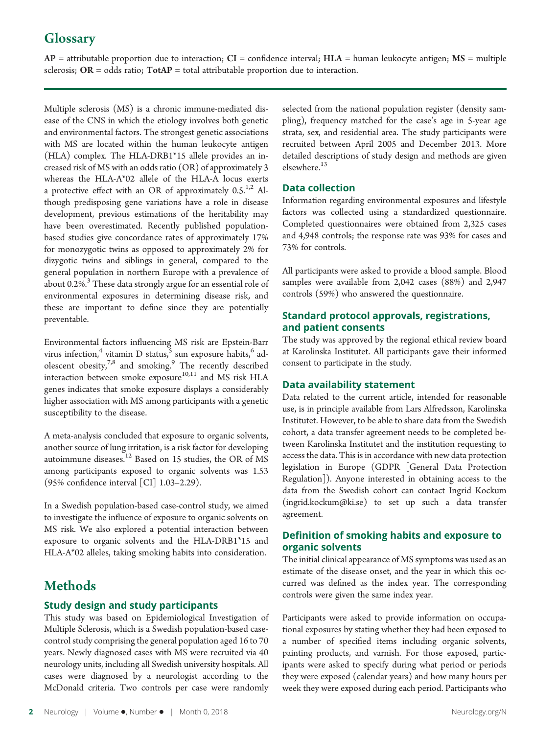## **Glossary**

 $AP =$  attributable proportion due to interaction;  $CI =$  confidence interval;  $HLA =$  human leukocyte antigen;  $MS =$  multiple sclerosis;  $OR = odds ratio$ ;  $TotalP = total attribute at the proportion due to interaction.$ 

Multiple sclerosis (MS) is a chronic immune-mediated disease of the CNS in which the etiology involves both genetic and environmental factors. The strongest genetic associations with MS are located within the human leukocyte antigen (HLA) complex. The HLA-DRB1\*15 allele provides an increased risk of MS with an odds ratio (OR) of approximately 3 whereas the HLA-A\*02 allele of the HLA-A locus exerts a protective effect with an OR of approximately  $0.5$ .<sup>1,2</sup> Although predisposing gene variations have a role in disease development, previous estimations of the heritability may have been overestimated. Recently published populationbased studies give concordance rates of approximately 17% for monozygotic twins as opposed to approximately 2% for dizygotic twins and siblings in general, compared to the general population in northern Europe with a prevalence of about 0.2%.<sup>3</sup> These data strongly argue for an essential role of environmental exposures in determining disease risk, and these are important to define since they are potentially preventable.

Environmental factors influencing MS risk are Epstein-Barr virus infection,<sup>4</sup> vitamin D status,  $5 \sin$  exposure habits,  $6 \text{ ad-}$ olescent obesity,<sup>7,8</sup> and smoking.<sup>9</sup> The recently described interaction between smoke exposure<sup>10,11</sup> and MS risk HLA genes indicates that smoke exposure displays a considerably higher association with MS among participants with a genetic susceptibility to the disease.

A meta-analysis concluded that exposure to organic solvents, another source of lung irritation, is a risk factor for developing autoimmune diseases.<sup>12</sup> Based on 15 studies, the OR of MS among participants exposed to organic solvents was 1.53 (95% confidence interval [CI] 1.03–2.29).

In a Swedish population-based case-control study, we aimed to investigate the influence of exposure to organic solvents on MS risk. We also explored a potential interaction between exposure to organic solvents and the HLA-DRB1\*15 and HLA-A\*02 alleles, taking smoking habits into consideration.

## **Methods**

#### Study design and study participants

This study was based on Epidemiological Investigation of Multiple Sclerosis, which is a Swedish population-based casecontrol study comprising the general population aged 16 to 70 years. Newly diagnosed cases with MS were recruited via 40 neurology units, including all Swedish university hospitals. All cases were diagnosed by a neurologist according to the McDonald criteria. Two controls per case were randomly selected from the national population register (density sampling), frequency matched for the case's age in 5-year age strata, sex, and residential area. The study participants were recruited between April 2005 and December 2013. More detailed descriptions of study design and methods are given elsewhere.<sup>13</sup>

#### Data collection

Information regarding environmental exposures and lifestyle factors was collected using a standardized questionnaire. Completed questionnaires were obtained from 2,325 cases and 4,948 controls; the response rate was 93% for cases and 73% for controls.

All participants were asked to provide a blood sample. Blood samples were available from 2,042 cases (88%) and 2,947 controls (59%) who answered the questionnaire.

#### Standard protocol approvals, registrations, and patient consents

The study was approved by the regional ethical review board at Karolinska Institutet. All participants gave their informed consent to participate in the study.

#### Data availability statement

Data related to the current article, intended for reasonable use, is in principle available from Lars Alfredsson, Karolinska Institutet. However, to be able to share data from the Swedish cohort, a data transfer agreement needs to be completed between Karolinska Institutet and the institution requesting to access the data. This is in accordance with new data protection legislation in Europe (GDPR [General Data Protection Regulation]). Anyone interested in obtaining access to the data from the Swedish cohort can contact Ingrid Kockum [\(ingrid.kockum@ki.se\)](mailto:ingrid.kockum@ki.se) to set up such a data transfer agreement.

#### Definition of smoking habits and exposure to organic solvents

The initial clinical appearance of MS symptoms was used as an estimate of the disease onset, and the year in which this occurred was defined as the index year. The corresponding controls were given the same index year.

Participants were asked to provide information on occupational exposures by stating whether they had been exposed to a number of specified items including organic solvents, painting products, and varnish. For those exposed, participants were asked to specify during what period or periods they were exposed (calendar years) and how many hours per week they were exposed during each period. Participants who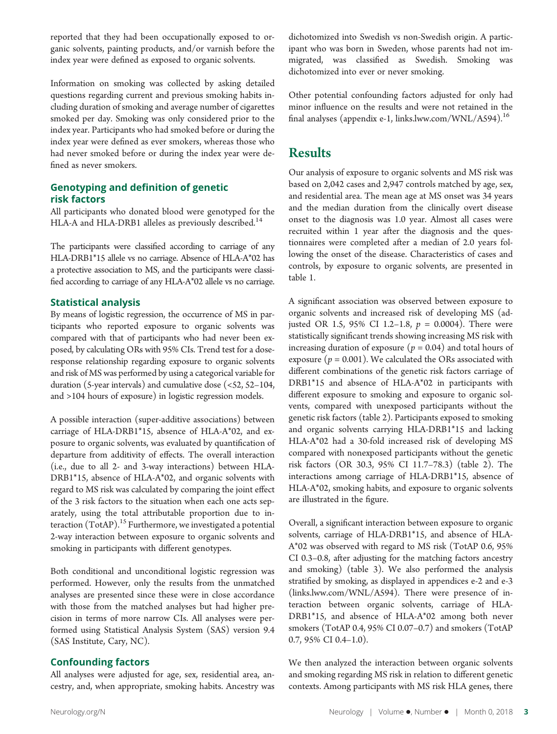reported that they had been occupationally exposed to organic solvents, painting products, and/or varnish before the index year were defined as exposed to organic solvents.

Information on smoking was collected by asking detailed questions regarding current and previous smoking habits including duration of smoking and average number of cigarettes smoked per day. Smoking was only considered prior to the index year. Participants who had smoked before or during the index year were defined as ever smokers, whereas those who had never smoked before or during the index year were defined as never smokers.

#### Genotyping and definition of genetic risk factors

All participants who donated blood were genotyped for the HLA-A and HLA-DRB1 alleles as previously described.<sup>14</sup>

The participants were classified according to carriage of any HLA-DRB1\*15 allele vs no carriage. Absence of HLA-A\*02 has a protective association to MS, and the participants were classified according to carriage of any HLA-A\*02 allele vs no carriage.

#### Statistical analysis

By means of logistic regression, the occurrence of MS in participants who reported exposure to organic solvents was compared with that of participants who had never been exposed, by calculating ORs with 95% CIs. Trend test for a doseresponse relationship regarding exposure to organic solvents and risk of MS was performed by using a categorical variable for duration (5-year intervals) and cumulative dose (<52, 52–104, and >104 hours of exposure) in logistic regression models.

A possible interaction (super-additive associations) between carriage of HLA-DRB1\*15, absence of HLA-A\*02, and exposure to organic solvents, was evaluated by quantification of departure from additivity of effects. The overall interaction (i.e., due to all 2- and 3-way interactions) between HLA-DRB1\*15, absence of HLA-A\*02, and organic solvents with regard to MS risk was calculated by comparing the joint effect of the 3 risk factors to the situation when each one acts separately, using the total attributable proportion due to interaction  $(TotAP).$ <sup>15</sup> Furthermore, we investigated a potential 2-way interaction between exposure to organic solvents and smoking in participants with different genotypes.

Both conditional and unconditional logistic regression was performed. However, only the results from the unmatched analyses are presented since these were in close accordance with those from the matched analyses but had higher precision in terms of more narrow CIs. All analyses were performed using Statistical Analysis System (SAS) version 9.4 (SAS Institute, Cary, NC).

#### Confounding factors

All analyses were adjusted for age, sex, residential area, ancestry, and, when appropriate, smoking habits. Ancestry was dichotomized into Swedish vs non-Swedish origin. A participant who was born in Sweden, whose parents had not immigrated, was classified as Swedish. Smoking was dichotomized into ever or never smoking.

Other potential confounding factors adjusted for only had minor influence on the results and were not retained in the final analyses (appendix e-1, [links.lww.com/WNL/A594\)](http://links.lww.com/WNL/A594).<sup>16</sup>

### Results

Our analysis of exposure to organic solvents and MS risk was based on 2,042 cases and 2,947 controls matched by age, sex, and residential area. The mean age at MS onset was 34 years and the median duration from the clinically overt disease onset to the diagnosis was 1.0 year. Almost all cases were recruited within 1 year after the diagnosis and the questionnaires were completed after a median of 2.0 years following the onset of the disease. Characteristics of cases and controls, by exposure to organic solvents, are presented in table 1.

A significant association was observed between exposure to organic solvents and increased risk of developing MS (adjusted OR 1.5, 95% CI 1.2-1.8,  $p = 0.0004$ ). There were statistically significant trends showing increasing MS risk with increasing duration of exposure ( $p = 0.04$ ) and total hours of exposure ( $p = 0.001$ ). We calculated the ORs associated with different combinations of the genetic risk factors carriage of DRB1\*15 and absence of HLA-A\*02 in participants with different exposure to smoking and exposure to organic solvents, compared with unexposed participants without the genetic risk factors (table 2). Participants exposed to smoking and organic solvents carrying HLA-DRB1\*15 and lacking HLA-A\*02 had a 30-fold increased risk of developing MS compared with nonexposed participants without the genetic risk factors (OR 30.3, 95% CI 11.7–78.3) (table 2). The interactions among carriage of HLA-DRB1\*15, absence of HLA-A\*02, smoking habits, and exposure to organic solvents are illustrated in the figure.

Overall, a significant interaction between exposure to organic solvents, carriage of HLA-DRB1\*15, and absence of HLA-A\*02 was observed with regard to MS risk (TotAP 0.6, 95% CI 0.3–0.8, after adjusting for the matching factors ancestry and smoking) (table 3). We also performed the analysis stratified by smoking, as displayed in appendices e-2 and e-3 ([links.lww.com/WNL/A594\)](http://links.lww.com/WNL/A594). There were presence of interaction between organic solvents, carriage of HLA-DRB1\*15, and absence of HLA-A\*02 among both never smokers (TotAP 0.4, 95% CI 0.07–0.7) and smokers (TotAP 0.7, 95% CI 0.4–1.0).

We then analyzed the interaction between organic solvents and smoking regarding MS risk in relation to different genetic contexts. Among participants with MS risk HLA genes, there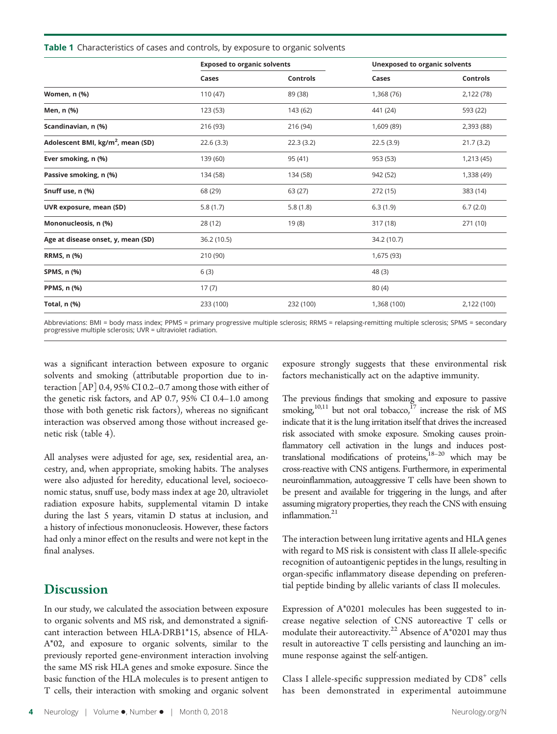**Table 1** Characteristics of cases and controls, by exposure to organic solvents

|                                               | <b>Exposed to organic solvents</b> |                 | <b>Unexposed to organic solvents</b> |                 |  |
|-----------------------------------------------|------------------------------------|-----------------|--------------------------------------|-----------------|--|
|                                               | Cases                              | <b>Controls</b> | Cases                                | <b>Controls</b> |  |
| Women, n (%)                                  | 110(47)                            | 89 (38)         | 1,368 (76)                           | 2,122 (78)      |  |
| Men, n (%)                                    | 123(53)                            | 143 (62)        | 441 (24)                             | 593 (22)        |  |
| Scandinavian, n (%)                           | 216 (93)                           | 216 (94)        | 1,609 (89)                           | 2,393 (88)      |  |
| Adolescent BMI, kg/m <sup>2</sup> , mean (SD) | 22.6(3.3)                          | 22.3(3.2)       | 22.5(3.9)                            | 21.7(3.2)       |  |
| Ever smoking, n (%)                           | 139 (60)                           | 95 (41)         | 953 (53)                             | 1,213 (45)      |  |
| Passive smoking, n (%)                        | 134 (58)                           | 134 (58)        | 942 (52)                             | 1,338 (49)      |  |
| Snuff use, n (%)                              | 68 (29)                            | 63(27)          | 272 (15)                             | 383 (14)        |  |
| UVR exposure, mean (SD)                       | 5.8(1.7)                           | 5.8(1.8)        | 6.3(1.9)                             | 6.7(2.0)        |  |
| Mononucleosis, n (%)                          | 28 (12)                            | 19(8)           | 317 (18)                             | 271 (10)        |  |
| Age at disease onset, y, mean (SD)            | 36.2 (10.5)                        |                 | 34.2 (10.7)                          |                 |  |
| RRMS, n (%)                                   | 210 (90)                           |                 |                                      | 1,675 (93)      |  |
| SPMS, n (%)                                   | 6(3)                               |                 | 48(3)                                |                 |  |
| <b>PPMS, n (%)</b>                            | 17(7)                              |                 | 80(4)                                |                 |  |
| <b>Total, n (%)</b>                           | 233 (100)                          | 232 (100)       | 1,368 (100)                          | 2,122 (100)     |  |
|                                               |                                    |                 |                                      |                 |  |

Abbreviations: BMI = body mass index; PPMS = primary progressive multiple sclerosis; RRMS = relapsing-remitting multiple sclerosis; SPMS = secondary progressive multiple sclerosis; UVR = ultraviolet radiation.

was a significant interaction between exposure to organic solvents and smoking (attributable proportion due to interaction [AP] 0.4, 95% CI 0.2–0.7 among those with either of the genetic risk factors, and AP 0.7, 95% CI 0.4–1.0 among those with both genetic risk factors), whereas no significant interaction was observed among those without increased genetic risk (table 4).

All analyses were adjusted for age, sex, residential area, ancestry, and, when appropriate, smoking habits. The analyses were also adjusted for heredity, educational level, socioeconomic status, snuff use, body mass index at age 20, ultraviolet radiation exposure habits, supplemental vitamin D intake during the last 5 years, vitamin D status at inclusion, and a history of infectious mononucleosis. However, these factors had only a minor effect on the results and were not kept in the final analyses.

#### **Discussion**

In our study, we calculated the association between exposure to organic solvents and MS risk, and demonstrated a significant interaction between HLA-DRB1\*15, absence of HLA-A\*02, and exposure to organic solvents, similar to the previously reported gene-environment interaction involving the same MS risk HLA genes and smoke exposure. Since the basic function of the HLA molecules is to present antigen to T cells, their interaction with smoking and organic solvent exposure strongly suggests that these environmental risk factors mechanistically act on the adaptive immunity.

The previous findings that smoking and exposure to passive smoking,<sup>10,11</sup> but not oral tobacco,<sup>17</sup> increase the risk of MS indicate that it is the lung irritation itself that drives the increased risk associated with smoke exposure. Smoking causes proinflammatory cell activation in the lungs and induces posttranslational modifications of proteins,18–<sup>20</sup> which may be cross-reactive with CNS antigens. Furthermore, in experimental neuroinflammation, autoaggressive T cells have been shown to be present and available for triggering in the lungs, and after assuming migratory properties, they reach the CNS with ensuing inflammation.<sup>21</sup>

The interaction between lung irritative agents and HLA genes with regard to MS risk is consistent with class II allele-specific recognition of autoantigenic peptides in the lungs, resulting in organ-specific inflammatory disease depending on preferential peptide binding by allelic variants of class II molecules.

Expression of A\*0201 molecules has been suggested to increase negative selection of CNS autoreactive T cells or modulate their autoreactivity.<sup>22</sup> Absence of  $A^*0201$  may thus result in autoreactive T cells persisting and launching an immune response against the self-antigen.

Class I allele-specific suppression mediated by  $CDS<sup>+</sup>$  cells has been demonstrated in experimental autoimmune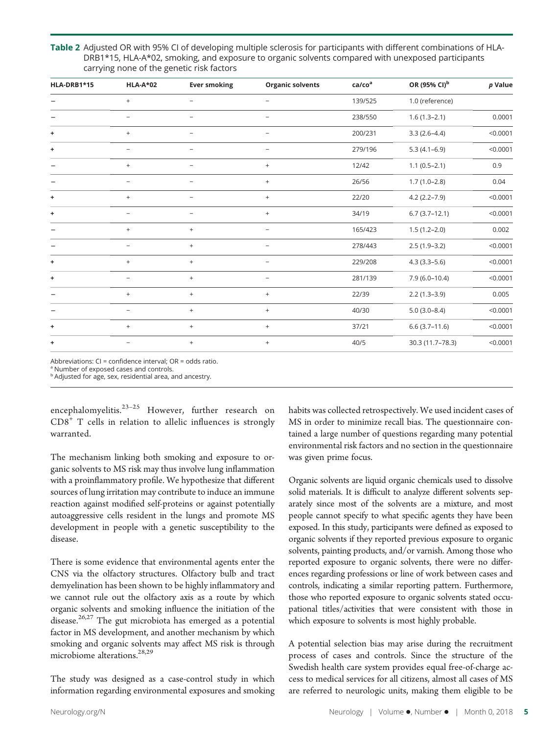Table 2 Adjusted OR with 95% CI of developing multiple sclerosis for participants with different combinations of HLA-DRB1\*15, HLA-A\*02, smoking, and exposure to organic solvents compared with unexposed participants carrying none of the genetic risk factors

| HLA-DRB1*15 | <b>HLA-A*02</b>          | <b>Ever smoking</b> | <b>Organic solvents</b>  | ca/co <sup>a</sup> | OR (95% CI) <sup>b</sup> | $p$ Value |
|-------------|--------------------------|---------------------|--------------------------|--------------------|--------------------------|-----------|
|             | $\ddot{}$                | $\qquad \qquad -$   | -                        | 139/525            | 1.0 (reference)          |           |
|             | $\qquad \qquad -$        | $\qquad \qquad -$   | $\overline{\phantom{0}}$ | 238/550            | $1.6(1.3-2.1)$           | 0.0001    |
| ÷           | $^+$                     |                     |                          | 200/231            | $3.3(2.6-4.4)$           | < 0.0001  |
| ٠           | $\overline{\phantom{0}}$ |                     | $\overline{\phantom{0}}$ | 279/196            | $5.3(4.1-6.9)$           | < 0.0001  |
|             | $^{+}$                   |                     | $^{+}$                   | 12/42              | $1.1(0.5-2.1)$           | 0.9       |
|             | $\overline{\phantom{m}}$ | $\qquad \qquad -$   | $^{+}$                   | 26/56              | $1.7(1.0-2.8)$           | 0.04      |
| ÷           | $\qquad \qquad +$        | $\qquad \qquad -$   | $^{+}$                   | 22/20              | $4.2(2.2 - 7.9)$         | < 0.0001  |
| ٠           |                          |                     | $^{+}$                   | 34/19              | $6.7(3.7-12.1)$          | < 0.0001  |
|             | $\ddot{}$                | $+$                 | $\overline{\phantom{0}}$ | 165/423            | $1.5(1.2 - 2.0)$         | 0.002     |
|             | $\overline{\phantom{0}}$ | $+$                 | $\overline{\phantom{0}}$ | 278/443            | $2.5(1.9-3.2)$           | < 0.0001  |
| ٠           | $\ddot{}$                | $+$                 | $\overline{\phantom{m}}$ | 229/208            | $4.3(3.3-5.6)$           | < 0.0001  |
| ٠           | $\overline{\phantom{a}}$ | $+$                 | $\overline{\phantom{0}}$ | 281/139            | $7.9(6.0-10.4)$          | < 0.0001  |
|             | $^+$                     | $+$                 | $^{+}$                   | 22/39              | $2.2(1.3-3.9)$           | 0.005     |
|             | $\overline{\phantom{a}}$ | $+$                 | $^{+}$                   | 40/30              | $5.0(3.0-8.4)$           | < 0.0001  |
| ٠           | $\ddot{}$                | $+$                 | $^{+}$                   | 37/21              | $6.6(3.7-11.6)$          | < 0.0001  |
| ÷           |                          | $+$                 | $^{+}$                   | 40/5               | 30.3 (11.7-78.3)         | < 0.0001  |

Abbreviations: CI = confidence interval; OR = odds ratio.

<sup>a</sup> Number of exposed cases and controls.

**b** Adjusted for age, sex, residential area, and ancestry.

encephalomyelitis. $23-25$  However, further research on  $CDS<sup>+</sup>$  T cells in relation to allelic influences is strongly warranted.

The mechanism linking both smoking and exposure to organic solvents to MS risk may thus involve lung inflammation with a proinflammatory profile. We hypothesize that different sources of lung irritation may contribute to induce an immune reaction against modified self-proteins or against potentially autoaggressive cells resident in the lungs and promote MS development in people with a genetic susceptibility to the disease.

There is some evidence that environmental agents enter the CNS via the olfactory structures. Olfactory bulb and tract demyelination has been shown to be highly inflammatory and we cannot rule out the olfactory axis as a route by which organic solvents and smoking influence the initiation of the disease. $26,27$  The gut microbiota has emerged as a potential factor in MS development, and another mechanism by which smoking and organic solvents may affect MS risk is through microbiome alterations.<sup>28,29</sup>

The study was designed as a case-control study in which information regarding environmental exposures and smoking habits was collected retrospectively. We used incident cases of MS in order to minimize recall bias. The questionnaire contained a large number of questions regarding many potential environmental risk factors and no section in the questionnaire was given prime focus.

Organic solvents are liquid organic chemicals used to dissolve solid materials. It is difficult to analyze different solvents separately since most of the solvents are a mixture, and most people cannot specify to what specific agents they have been exposed. In this study, participants were defined as exposed to organic solvents if they reported previous exposure to organic solvents, painting products, and/or varnish. Among those who reported exposure to organic solvents, there were no differences regarding professions or line of work between cases and controls, indicating a similar reporting pattern. Furthermore, those who reported exposure to organic solvents stated occupational titles/activities that were consistent with those in which exposure to solvents is most highly probable.

A potential selection bias may arise during the recruitment process of cases and controls. Since the structure of the Swedish health care system provides equal free-of-charge access to medical services for all citizens, almost all cases of MS are referred to neurologic units, making them eligible to be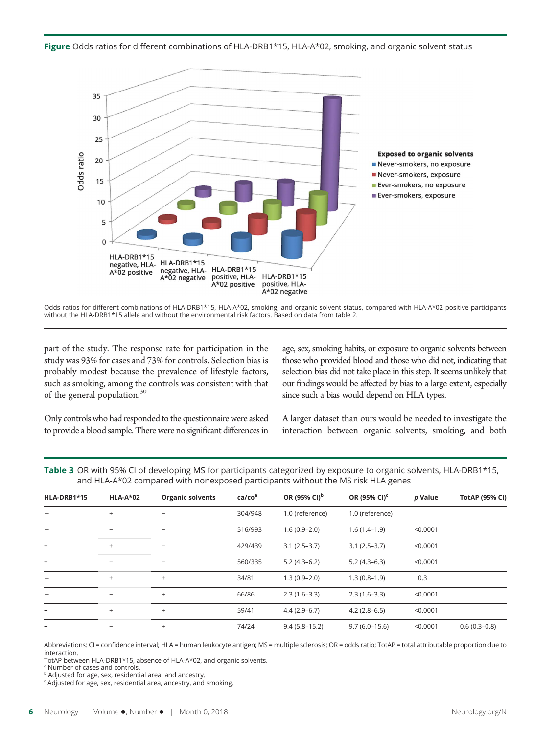

Odds ratios for different combinations of HLA-DRB1\*15, HLA-A\*02, smoking, and organic solvent status, compared with HLA-A\*02 positive participants without the HLA-DRB1\*15 allele and without the environmental risk factors. Based on data from table 2.

part of the study. The response rate for participation in the study was 93% for cases and 73% for controls. Selection bias is probably modest because the prevalence of lifestyle factors, such as smoking, among the controls was consistent with that of the general population.<sup>30</sup>

age, sex, smoking habits, or exposure to organic solvents between those who provided blood and those who did not, indicating that selection bias did not take place in this step. It seems unlikely that our findings would be affected by bias to a large extent, especially since such a bias would depend on HLA types.

Only controls who had responded to the questionnaire were asked to provide a blood sample. There were no significant differences in

A larger dataset than ours would be needed to investigate the interaction between organic solvents, smoking, and both

| Table 3 OR with 95% CI of developing MS for participants categorized by exposure to organic solvents, HLA-DRB1*15, |  |  |  |
|--------------------------------------------------------------------------------------------------------------------|--|--|--|
| and HLA-A*02 compared with nonexposed participants without the MS risk HLA genes                                   |  |  |  |

| HLA-DRB1*15 | <b>HLA-A*02</b>          | <b>Organic solvents</b>  | ca/co <sup>a</sup> | OR (95% CI) <sup>b</sup> | OR (95% CI) <sup>c</sup> | p Value  | <b>TotAP (95% CI)</b> |
|-------------|--------------------------|--------------------------|--------------------|--------------------------|--------------------------|----------|-----------------------|
|             | $+$                      |                          | 304/948            | 1.0 (reference)          | 1.0 (reference)          |          |                       |
|             | $\overline{\phantom{0}}$ | $\overline{\phantom{m}}$ | 516/993            | $1.6(0.9-2.0)$           | $1.6(1.4-1.9)$           | < 0.0001 |                       |
| ÷           | $+$                      | $\overline{\phantom{0}}$ | 429/439            | $3.1(2.5-3.7)$           | $3.1(2.5-3.7)$           | < 0.0001 |                       |
| ÷           |                          | $\qquad \qquad -$        | 560/335            | $5.2(4.3-6.2)$           | $5.2(4.3-6.3)$           | < 0.0001 |                       |
|             | $+$                      | $^{+}$                   | 34/81              | $1.3(0.9 - 2.0)$         | $1.3(0.8-1.9)$           | 0.3      |                       |
| -           | $\overline{\phantom{m}}$ | $^{+}$                   | 66/86              | $2.3(1.6-3.3)$           | $2.3(1.6-3.3)$           | < 0.0001 |                       |
| $\ddot{}$   | $^{+}$                   | $+$                      | 59/41              | $4.4(2.9-6.7)$           | $4.2(2.8-6.5)$           | < 0.0001 |                       |
| ÷           | $\qquad \qquad -$        | $^{+}$                   | 74/24              | $9.4(5.8 - 15.2)$        | $9.7(6.0 - 15.6)$        | < 0.0001 | $0.6(0.3-0.8)$        |

Abbreviations: CI = confidence interval; HLA = human leukocyte antigen; MS = multiple sclerosis; OR = odds ratio; TotAP = total attributable proportion due to interaction.

TotAP between HLA-DRB1\*15, absence of HLA-A\*02, and organic solvents.

<sup>a</sup> Number of cases and controls. **b** Adjusted for age, sex, residential area, and ancestry.

<sup>c</sup> Adjusted for age, sex, residential area, ancestry, and smoking.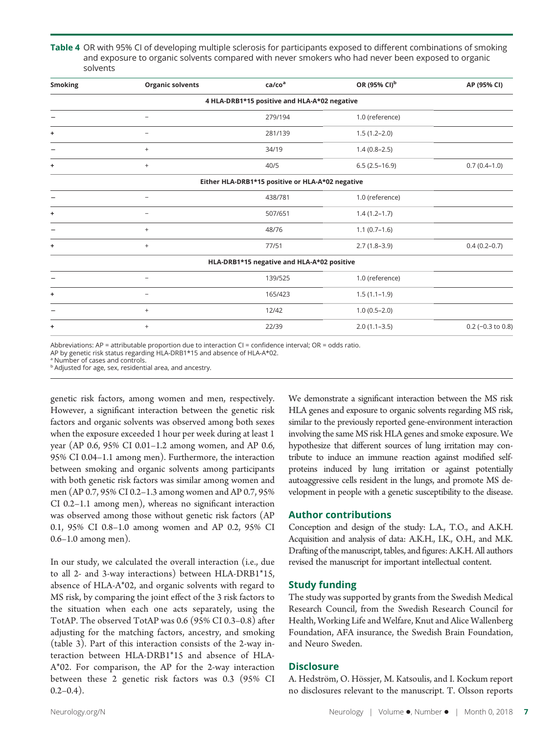Table 4 OR with 95% CI of developing multiple sclerosis for participants exposed to different combinations of smoking and exposure to organic solvents compared with never smokers who had never been exposed to organic solvents

| <b>Smoking</b> | <b>Organic solvents</b>  | ca/co <sup>a</sup>                               | OR (95% CI) <sup>b</sup> | AP (95% CI)         |
|----------------|--------------------------|--------------------------------------------------|--------------------------|---------------------|
|                |                          | 4 HLA-DRB1*15 positive and HLA-A*02 negative     |                          |                     |
|                |                          | 279/194                                          | 1.0 (reference)          |                     |
| ٠              | $\overline{\phantom{m}}$ | 281/139                                          | $1.5(1.2 - 2.0)$         |                     |
|                | $+$                      | 34/19                                            | $1.4(0.8-2.5)$           |                     |
| ٠              | $^{+}$                   | 40/5                                             | $6.5(2.5-16.9)$          | $0.7(0.4-1.0)$      |
|                |                          | Either HLA-DRB1*15 positive or HLA-A*02 negative |                          |                     |
|                | $\overline{\phantom{0}}$ | 438/781                                          | 1.0 (reference)          |                     |
| ÷              | $\overline{\phantom{0}}$ | 507/651                                          | $1.4(1.2-1.7)$           |                     |
|                | $^{+}$                   | 48/76                                            | $1.1(0.7-1.6)$           |                     |
| ٠              | $+$                      | 77/51                                            | $2.7(1.8-3.9)$           | $0.4(0.2-0.7)$      |
|                |                          | HLA-DRB1*15 negative and HLA-A*02 positive       |                          |                     |
|                | $\overline{\phantom{0}}$ | 139/525                                          | 1.0 (reference)          |                     |
| ÷              |                          | 165/423                                          | $1.5(1.1-1.9)$           |                     |
|                | $^{+}$                   | 12/42                                            | $1.0(0.5-2.0)$           |                     |
| ٠              | $^{+}$                   | 22/39                                            | $2.0(1.1-3.5)$           | $0.2$ (-0.3 to 0.8) |

Abbreviations: AP = attributable proportion due to interaction CI = confidence interval; OR = odds ratio.

AP by genetic risk status regarding HLA-DRB1\*15 and absence of HLA-A\*02.

<sup>a</sup> Number of cases and controls.

**b** Adjusted for age, sex, residential area, and ancestry.

genetic risk factors, among women and men, respectively. However, a significant interaction between the genetic risk factors and organic solvents was observed among both sexes when the exposure exceeded 1 hour per week during at least 1 year (AP 0.6, 95% CI 0.01–1.2 among women, and AP 0.6, 95% CI 0.04–1.1 among men). Furthermore, the interaction between smoking and organic solvents among participants with both genetic risk factors was similar among women and men (AP 0.7, 95% CI 0.2–1.3 among women and AP 0.7, 95% CI 0.2–1.1 among men), whereas no significant interaction was observed among those without genetic risk factors (AP 0.1, 95% CI 0.8–1.0 among women and AP 0.2, 95% CI 0.6–1.0 among men).

In our study, we calculated the overall interaction (i.e., due to all 2- and 3-way interactions) between HLA-DRB1\*15, absence of HLA-A\*02, and organic solvents with regard to MS risk, by comparing the joint effect of the 3 risk factors to the situation when each one acts separately, using the TotAP. The observed TotAP was 0.6 (95% CI 0.3–0.8) after adjusting for the matching factors, ancestry, and smoking (table 3). Part of this interaction consists of the 2-way interaction between HLA-DRB1\*15 and absence of HLA-A\*02. For comparison, the AP for the 2-way interaction between these 2 genetic risk factors was 0.3 (95% CI  $0.2-0.4$ ).

We demonstrate a significant interaction between the MS risk HLA genes and exposure to organic solvents regarding MS risk, similar to the previously reported gene-environment interaction involving the same MS risk HLA genes and smoke exposure. We hypothesize that different sources of lung irritation may contribute to induce an immune reaction against modified selfproteins induced by lung irritation or against potentially autoaggressive cells resident in the lungs, and promote MS development in people with a genetic susceptibility to the disease.

#### Author contributions

Conception and design of the study: L.A., T.O., and A.K.H. Acquisition and analysis of data: A.K.H., I.K., O.H., and M.K. Drafting of the manuscript, tables, and figures: A.K.H. All authors revised the manuscript for important intellectual content.

#### Study funding

The study was supported by grants from the Swedish Medical Research Council, from the Swedish Research Council for Health, Working Life and Welfare, Knut and Alice Wallenberg Foundation, AFA insurance, the Swedish Brain Foundation, and Neuro Sweden.

#### **Disclosure**

A. Hedström, O. Hössjer, M. Katsoulis, and I. Kockum report no disclosures relevant to the manuscript. T. Olsson reports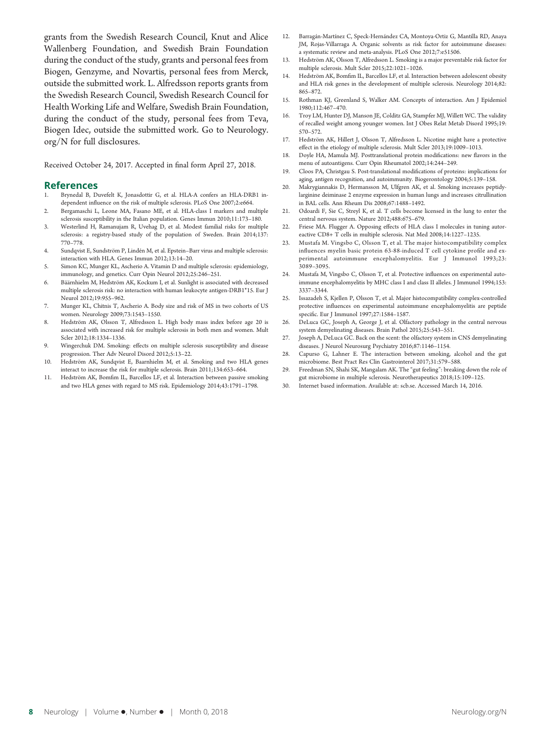grants from the Swedish Research Council, Knut and Alice Wallenberg Foundation, and Swedish Brain Foundation during the conduct of the study, grants and personal fees from Biogen, Genzyme, and Novartis, personal fees from Merck, outside the submitted work. L. Alfredsson reports grants from the Swedish Research Council, Swedish Research Council for Health Working Life and Welfare, Swedish Brain Foundation, during the conduct of the study, personal fees from Teva, Biogen Idec, outside the submitted work. Go to [Neurology.](http://n.neurology.org/lookup/doi/10.1212/WNL.0000000000005906) [org/N](http://n.neurology.org/lookup/doi/10.1212/WNL.0000000000005906) for full disclosures.

Received October 24, 2017. Accepted in final form April 27, 2018.

#### References

- Brynedal B, Duvefelt K, Jonasdottir G, et al. HLA-A confers an HLA-DRB1 independent influence on the risk of multiple sclerosis. PLoS One 2007;2:e664.
- 2. Bergamaschi L, Leone MA, Fasano ME, et al. HLA-class I markers and multiple sclerosis susceptibility in the Italian population. Genes Immun 2010;11:173–180.
- 3. Westerlind H, Ramanujam R, Uvehag D, et al. Modest familial risks for multiple sclerosis: a registry-based study of the population of Sweden. Brain 2014;137: 770–778.
- 4. Sundqvist E, Sundström P, Lindén M, et al. Epstein–Barr virus and multiple sclerosis: interaction with HLA. Genes Immun 2012;13:14–20.
- 5. Simon KC, Munger KL, Ascherio A. Vitamin D and multiple sclerosis: epidemiology, immunology, and genetics. Curr Opin Neurol 2012;25:246–251.
- 6. Bäärnhielm M, Hedström AK, Kockum I, et al. Sunlight is associated with decreased multiple sclerosis risk: no interaction with human leukocyte antigen-DRB1\*15. Eur J Neurol 2012;19:955–962.
- 7. Munger KL, Chitnis T, Ascherio A. Body size and risk of MS in two cohorts of US women. Neurology 2009;73:1543–1550.
- 8. Hedström AK, Olsson T, Alfredsson L. High body mass index before age 20 is associated with increased risk for multiple sclerosis in both men and women. Mult Scler 2012;18:1334–1336.
- 9. Wingerchuk DM. Smoking: effects on multiple sclerosis susceptibility and disease progression. Ther Adv Neurol Disord 2012;5:13–22.
- 10. Hedström AK, Sundqvist E, Baarnhielm M, et al. Smoking and two HLA genes interact to increase the risk for multiple sclerosis. Brain 2011;134:653–664.
- 11. Hedström AK, Bomfim IL, Barcellos LF, et al. Interaction between passive smoking and two HLA genes with regard to MS risk. Epidemiology 2014;43:1791–1798.
- 12. Barragán-Martínez C, Speck-Hernández CA, Montoya-Ortiz G, Mantilla RD, Anaya JM, Rojas-Villarraga A. Organic solvents as risk factor for autoimmune diseases: a systematic review and meta-analysis. PLoS One 2012;7:e51506.
- 13. Hedström AK, Olsson T, Alfredsson L. Smoking is a major preventable risk factor for multiple sclerosis. Mult Scler 2015;22:1021–1026.
- 14. Hedström AK, Bomfim IL, Barcellos LF, et al. Interaction between adolescent obesity and HLA risk genes in the development of multiple sclerosis. Neurology 2014;82: 865–872.
- 15. Rothman KJ, Greenland S, Walker AM. Concepts of interaction. Am J Epidemiol 1980;112:467–470.
- 16. Troy LM, Hunter DJ, Manson JE, Colditz GA, Stampfer MJ, Willett WC. The validity of recalled weight among younger women. Int J Obes Relat Metab Disord 1995;19: 570–572.
- 17. Hedström AK, Hillert J, Olsson T, Alfredsson L. Nicotine might have a protective effect in the etiology of multiple sclerosis. Mult Scler 2013;19:1009–1013.
- 18. Doyle HA, Mamula MJ. Posttranslational protein modifications: new flavors in the menu of autoantigens. Curr Opin Rheumatol 2002;14:244–249.
- 19. Cloos PA, Christgau S. Post-translational modifications of proteins: implications for aging, antigen recognition, and autoimmunity. Biogerontology 2004;5:139–158.
- 20. Makrygiannakis D, Hermansson M, Ulfgren AK, et al. Smoking increases peptidylarginine deiminase 2 enzyme expression in human lungs and increases citrullination in BAL cells. Ann Rheum Dis 2008;67:1488–1492.
- 21. Odoardi F, Sie C, Streyl K, et al. T cells become licensed in the lung to enter the central nervous system. Nature 2012;488:675–679.
- 22. Friese MA. Flugger A. Opposing effects of HLA class I molecules in tuning autoreactive CD8+ T cells in multiple sclerosis. Nat Med 2008;14:1227–1235.
- 23. Mustafa M. Vingsbo C, Olsson T, et al. The major histocompatibility complex influences myelin basic protein 63-88-induced T cell cytokine profile and experimental autoimmune encephalomyelitis. Eur J Immunol 1993;23: 3089–3095.
- 24. Mustafa M, Vingsbo C, Olsson T, et al. Protective influences on experimental autoimmune encephalomyelitis by MHC class I and class II alleles. J Immunol 1994;153: 3337–3344.
- 25. Issazadeh S, Kjellen P, Olsson T, et al. Major histocompatibility complex-controlled protective influences on experimental autoimmune encephalomyelitis are peptide specific. Eur J Immunol 1997;27:1584–1587.
- 26. DeLuca GC, Joseph A, George J, et al. Olfactory pathology in the central nervous system demyelinating diseases. Brain Pathol 2015;25:543–551.
- 27. Joseph A, DeLuca GC. Back on the scent: the olfactory system in CNS demyelinating diseases. J Neurol Neurosurg Psychiatry 2016;87:1146–1154.
- 28. Capurso G, Lahner E. The interaction between smoking, alcohol and the gut microbiome. Best Pract Res Clin Gastrointerol 2017;31:579–588.
- 29. Freedman SN, Shahi SK, Mangalam AK. The "gut feeling": breaking down the role of gut microbiome in multiple sclerosis. Neurotherapeutics 2018;15:109–125.
- 30. Internet based information. Available at: [scb.se](http://www.scb.se). Accessed March 14, 2016.